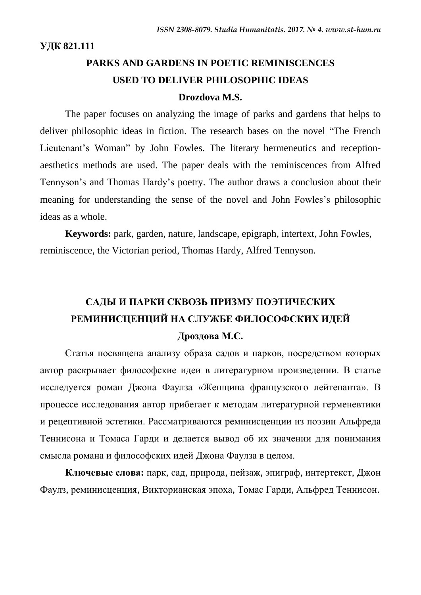**УДК 821.111**

# **PARKS AND GARDENS IN POETIC REMINISCENCES USED TO DELIVER PHILOSOPHIC IDEAS**

## **Drozdova M.S.**

The paper focuses on analyzing the image of parks and gardens that helps to deliver philosophic ideas in fiction. The research bases on the novel "The French Lieutenant's Woman" by John Fowles. The literary hermeneutics and receptionaesthetics methods are used. The paper deals with the reminiscences from Alfred Tennyson"s and Thomas Hardy"s poetry. The author draws a conclusion about their meaning for understanding the sense of the novel and John Fowles"s philosophic ideas as a whole.

**Keywords:** park, garden, nature, landscape, epigraph, intertext, John Fowles, reminiscence, the Victorian period, Thomas Hardy, Alfred Tennyson.

# **САДЫ И ПАРКИ СКВОЗЬ ПРИЗМУ ПОЭТИЧЕСКИХ РЕМИНИСЦЕНЦИЙ НА СЛУЖБЕ ФИЛОСОФСКИХ ИДЕЙ Дроздова М.С.**

Статья посвящена анализу образа садов и парков, посредством которых автор раскрывает философские идеи в литературном произведении. В статье исследуется роман Джона Фаулза «Женщина французского лейтенанта». В процессе исследования автор прибегает к методам литературной герменевтики и рецептивной эстетики. Рассматриваются реминисценции из поэзии Альфреда Теннисона и Томаса Гарди и делается вывод об их значении для понимания смысла романа и философских идей Джона Фаулза в целом.

**Ключевые слова:** парк, сад, природа, пейзаж, эпиграф, интертекст, Джон Фаулз, реминисценция, Викторианская эпоха, Томас Гарди, Альфред Теннисон.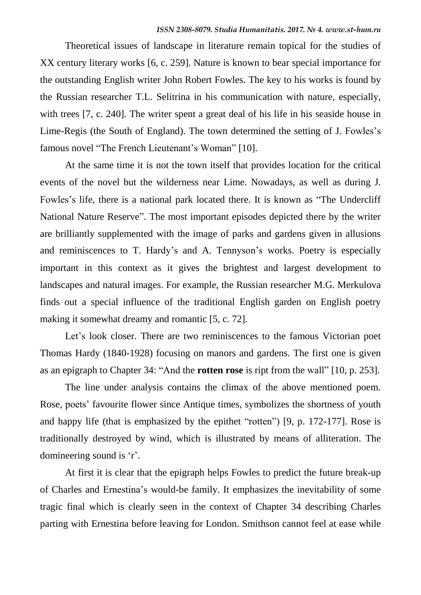Theoretical issues of landscape in literature remain topical for the studies of XX century literary works [6, c. 259]. Nature is known to bear special importance for the outstanding English writer John Robert Fowles. The key to his works is found by the Russian researcher T.L. Selitrina in his communication with nature, especially, with trees [7, c. 240]. The writer spent a great deal of his life in his seaside house in Lime-Regis (the South of England). The town determined the setting of J. Fowles's famous novel "The French Lieutenant's Woman" [10].

At the same time it is not the town itself that provides location for the critical events of the novel but the wilderness near Lime. Nowadays, as well as during J. Fowles's life, there is a national park located there. It is known as "The Undercliff" National Nature Reserve". The most important episodes depicted there by the writer are brilliantly supplemented with the image of parks and gardens given in allusions and reminiscences to T. Hardy's and A. Tennyson's works. Poetry is especially important in this context as it gives the brightest and largest development to landscapes and natural images. For example, the Russian researcher M.G. Merkulova finds out a special influence of the traditional English garden on English poetry making it somewhat dreamy and romantic [5, c. 72].

Let's look closer. There are two reminiscences to the famous Victorian poet Thomas Hardy (1840-1928) focusing on manors and gardens. The first one is given as an epigraph to Chapter 34: "And the **rotten rose** is ript from the wall" [10, p. 253].

The line under analysis contains the climax of the above mentioned poem. Rose, poets' favourite flower since Antique times, symbolizes the shortness of youth and happy life (that is emphasized by the epithet "rotten") [9, p. 172-177]. Rose is traditionally destroyed by wind, which is illustrated by means of alliteration. The domineering sound is 'r'.

At first it is clear that the epigraph helps Fowles to predict the future break-up of Charles and Ernestina"s would-be family. It emphasizes the inevitability of some tragic final which is clearly seen in the context of Chapter 34 describing Charles parting with Ernestina before leaving for London. Smithson cannot feel at ease while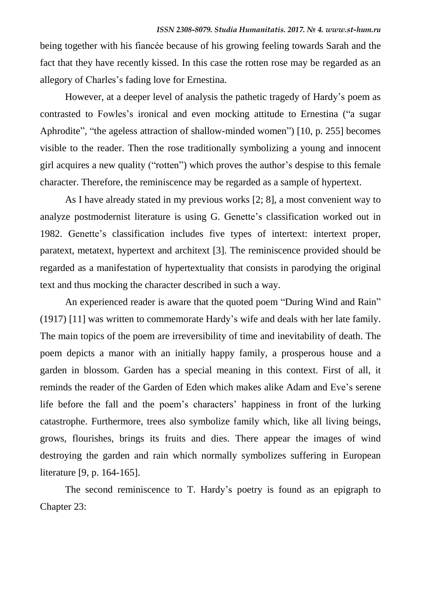being together with his fiancée because of his growing feeling towards Sarah and the fact that they have recently kissed. In this case the rotten rose may be regarded as an allegory of Charles"s fading love for Ernestina.

However, at a deeper level of analysis the pathetic tragedy of Hardy"s poem as contrasted to Fowles"s ironical and even mocking attitude to Ernestina ("a sugar Aphrodite", "the ageless attraction of shallow-minded women") [10, p. 255] becomes visible to the reader. Then the rose traditionally symbolizing a young and innocent girl acquires a new quality ("rotten") which proves the author"s despise to this female character. Therefore, the reminiscence may be regarded as a sample of hypertext.

As I have already stated in my previous works [2; 8], a most convenient way to analyze postmodernist literature is using G. Genette"s classification worked out in 1982. Genette's classification includes five types of intertext: intertext proper, paratext, metatext, hypertext and architext [3]. The reminiscence provided should be regarded as a manifestation of hypertextuality that consists in parodying the original text and thus mocking the character described in such a way.

An experienced reader is aware that the quoted poem "During Wind and Rain" (1917) [11] was written to commemorate Hardy"s wife and deals with her late family. The main topics of the poem are irreversibility of time and inevitability of death. The poem depicts a manor with an initially happy family, a prosperous house and a garden in blossom. Garden has a special meaning in this context. First of all, it reminds the reader of the Garden of Eden which makes alike Adam and Eve"s serene life before the fall and the poem's characters' happiness in front of the lurking catastrophe. Furthermore, trees also symbolize family which, like all living beings, grows, flourishes, brings its fruits and dies. There appear the images of wind destroying the garden and rain which normally symbolizes suffering in European literature [9, p. 164-165].

The second reminiscence to T. Hardy"s poetry is found as an epigraph to Chapter 23: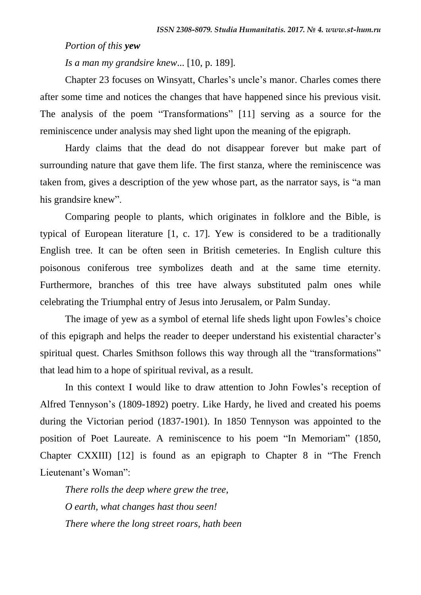#### *Portion of this yew*

*Is a man my grandsire knew*... [10, p. 189].

Chapter 23 focuses on Winsyatt, Charles's uncle's manor. Charles comes there after some time and notices the changes that have happened since his previous visit. The analysis of the poem "Transformations" [11] serving as a source for the reminiscence under analysis may shed light upon the meaning of the epigraph.

Hardy claims that the dead do not disappear forever but make part of surrounding nature that gave them life. The first stanza, where the reminiscence was taken from, gives a description of the yew whose part, as the narrator says, is "a man his grandsire knew".

Comparing people to plants, which originates in folklore and the Bible, is typical of European literature [1, c. 17]. Yew is considered to be a traditionally English tree. It can be often seen in British cemeteries. In English culture this poisonous coniferous tree symbolizes death and at the same time eternity. Furthermore, branches of this tree have always substituted palm ones while celebrating the Triumphal entry of Jesus into Jerusalem, or Palm Sunday.

The image of yew as a symbol of eternal life sheds light upon Fowles"s choice of this epigraph and helps the reader to deeper understand his existential character"s spiritual quest. Charles Smithson follows this way through all the "transformations" that lead him to a hope of spiritual revival, as a result.

In this context I would like to draw attention to John Fowles's reception of Alfred Tennyson"s (1809-1892) poetry. Like Hardy, he lived and created his poems during the Victorian period (1837-1901). In 1850 Tennyson was appointed to the position of Poet Laureate. A reminiscence to his poem "In Memoriam" (1850, Chapter CXXIII) [12] is found as an epigraph to Chapter 8 in "The French Lieutenant's Woman":

*There rolls the deep where grew the tree, O earth, what changes hast thou seen! There where the long street roars, hath been*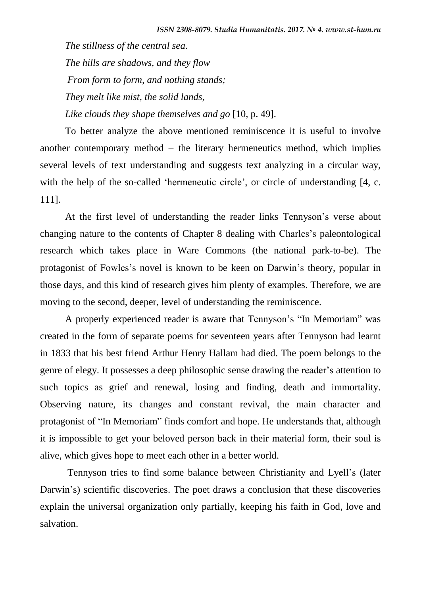*The stillness of the central sea. The hills are shadows, and they flow From form to form, and nothing stands; They melt like mist, the solid lands, Like clouds they shape themselves and go* [10, p. 49].

To better analyze the above mentioned reminiscence it is useful to involve another contemporary method – the literary hermeneutics method, which implies several levels of text understanding and suggests text analyzing in a circular way, with the help of the so-called 'hermeneutic circle', or circle of understanding [4, c. 111].

At the first level of understanding the reader links Tennyson's verse about changing nature to the contents of Chapter 8 dealing with Charles"s paleontological research which takes place in Ware Commons (the national park-to-be). The protagonist of Fowles"s novel is known to be keen on Darwin"s theory, popular in those days, and this kind of research gives him plenty of examples. Therefore, we are moving to the second, deeper, level of understanding the reminiscence.

A properly experienced reader is aware that Tennyson"s "In Memoriam" was created in the form of separate poems for seventeen years after Tennyson had learnt in 1833 that his best friend Arthur Henry Hallam had died. The poem belongs to the genre of elegy. It possesses a deep philosophic sense drawing the reader"s attention to such topics as grief and renewal, losing and finding, death and immortality. Observing nature, its changes and constant revival, the main character and protagonist of "In Memoriam" finds comfort and hope. He understands that, although it is impossible to get your beloved person back in their material form, their soul is alive, which gives hope to meet each other in a better world.

Tennyson tries to find some balance between Christianity and Lyell"s (later Darwin's) scientific discoveries. The poet draws a conclusion that these discoveries explain the universal organization only partially, keeping his faith in God, love and salvation.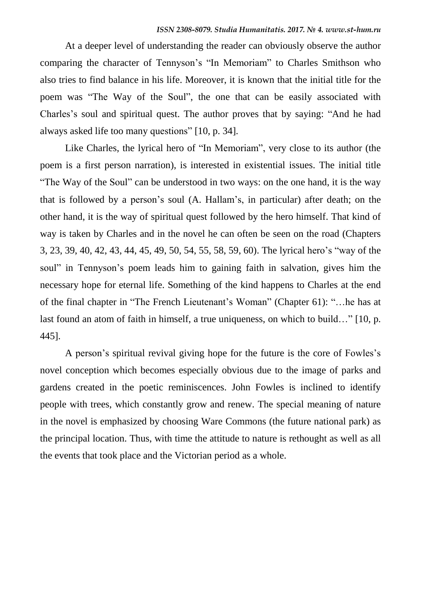At a deeper level of understanding the reader can obviously observe the author comparing the character of Tennyson's "In Memoriam" to Charles Smithson who also tries to find balance in his life. Moreover, it is known that the initial title for the poem was "The Way of the Soul", the one that can be easily associated with Charles"s soul and spiritual quest. The author proves that by saying: "And he had always asked life too many questions" [10, p. 34].

Like Charles, the lyrical hero of "In Memoriam", very close to its author (the poem is a first person narration), is interested in existential issues. The initial title "The Way of the Soul" can be understood in two ways: on the one hand, it is the way that is followed by a person"s soul (A. Hallam"s, in particular) after death; on the other hand, it is the way of spiritual quest followed by the hero himself. That kind of way is taken by Charles and in the novel he can often be seen on the road (Chapters 3, 23, 39, 40, 42, 43, 44, 45, 49, 50, 54, 55, 58, 59, 60). The lyrical hero"s "way of the soul" in Tennyson's poem leads him to gaining faith in salvation, gives him the necessary hope for eternal life. Something of the kind happens to Charles at the end of the final chapter in "The French Lieutenant"s Woman" (Chapter 61): "…he has at last found an atom of faith in himself, a true uniqueness, on which to build…" [10, p. 445].

A person"s spiritual revival giving hope for the future is the core of Fowles"s novel conception which becomes especially obvious due to the image of parks and gardens created in the poetic reminiscences. John Fowles is inclined to identify people with trees, which constantly grow and renew. The special meaning of nature in the novel is emphasized by choosing Ware Commons (the future national park) as the principal location. Thus, with time the attitude to nature is rethought as well as all the events that took place and the Victorian period as a whole.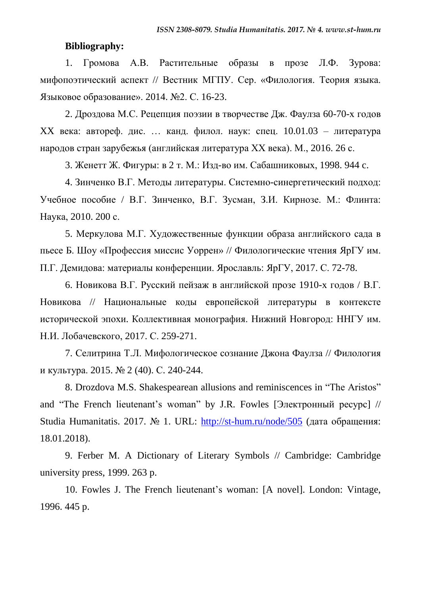#### **Bibliography:**

1. Громова А.В. Растительные образы в прозе Л.Ф. Зурова: мифопоэтический аспект // Вестник МГПУ. Сер. «Филология. Теория языка. Языковое образование». 2014. №2. С. 16-23.

2. Дроздова М.С. Рецепция поэзии в творчестве Дж. Фаулза 60-70-х годов XX века: автореф. дис. … канд. филол. наук: спец. 10.01.03 – литература народов стран зарубежья (английская литература ХХ века). М., 2016. 26 с.

3. Женетт Ж. Фигуры: в 2 т. М.: Изд-во им. Сабашниковых, 1998. 944 c.

4. Зинченко В.Г. Методы литературы. Системно-синергетический подход: Учебное пособие / В.Г. Зинченко, В.Г. Зусман, З.И. Кирнозе. М.: Флинта: Наука, 2010. 200 с.

5. Меркулова М.Г. Художественные функции образа английского сада в пьесе Б. Шоу «Профессия миссис Уоррен» // Филологические чтения ЯрГУ им. П.Г. Демидова: материалы конференции. Ярославль: ЯрГУ, 2017. С. 72-78.

6. Новикова В.Г. Русский пейзаж в английской прозе 1910-х годов / В.Г. Новикова // Национальные коды европейской литературы в контексте исторической эпохи. Коллективная монография. Нижний Новгород: ННГУ им. Н.И. Лобачевского, 2017. С. 259-271.

7. Селитрина Т.Л. Мифологическое сознание Джона Фаулза // Филология и культура. 2015. № 2 (40). С. 240-244.

8. Drozdova M.S. Shakespearean allusions and reminiscences in "The Aristos" and "The French lieutenant"s woman" by J.R. Fowles [Электронный ресурс] // Studia Humanitatis. 2017. № 1. URL: <http://st-hum.ru/node/505> (дата обращения: 18.01.2018).

9. Ferber M. A Dictionary of Literary Symbols // Cambridge: Cambridge university press, 1999. 263 p.

10. Fowles J. The French lieutenant"s woman: [A novel]. London: Vintage, 1996. 445 p.